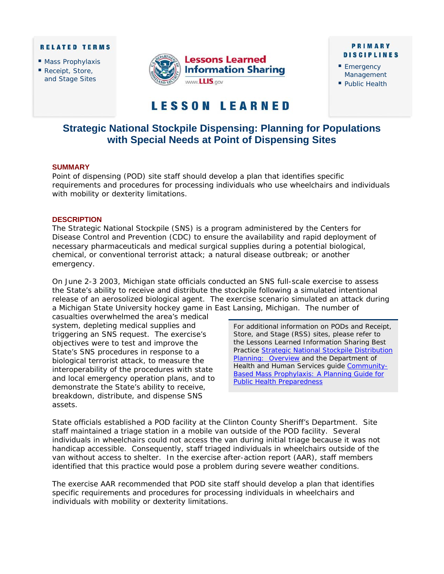#### **RELATED TERMS**

- **Mass Prophylaxis**
- Receipt, Store, and Stage Sites



### **PRIMARY DISCIPLINES**

- Emergency Management
- Public Health

# **LESSON LEARNED**

# **Strategic National Stockpile Dispensing: Planning for Populations with Special Needs at Point of Dispensing Sites**

# **SUMMARY**

Point of dispensing (POD) site staff should develop a plan that identifies specific requirements and procedures for processing individuals who use wheelchairs and individuals with mobility or dexterity limitations.

## **DESCRIPTION**

The Strategic National Stockpile (SNS) is a program administered by the Centers for Disease Control and Prevention (CDC) to ensure the availability and rapid deployment of necessary pharmaceuticals and medical surgical supplies during a potential biological, chemical, or conventional terrorist attack; a natural disease outbreak; or another emergency.

On June 2-3 2003, Michigan state officials conducted an SNS full-scale exercise to assess the State's ability to receive and distribute the stockpile following a simulated intentional release of an aerosolized biological agent. The exercise scenario simulated an attack during a Michigan State University hockey game in East Lansing, Michigan. The number of

casualties overwhelmed the area's medical system, depleting medical supplies and triggering an SNS request. The exercise's objectives were to test and improve the State's SNS procedures in response to a biological terrorist attack, to measure the interoperability of the procedures with state and local emergency operation plans, and to demonstrate the State's ability to receive, breakdown, distribute, and dispense SNS assets.

For additional information on PODs and Receipt, Store, and Stage (RSS) sites, please refer to the *Lessons Learned Information Sharing* Best Practice Strategic National Stockpile Distribution Planning: Overview and the Department of [Health and Human Services guide Community-](https://www.llis.dhs.gov/docdetails/details.do?contentID=17718)Based Mass Prophylaxis: A Planning Guide for Public Health Preparedness

State officials established a POD facility at the Clinton County Sheriff's Department. Site staff maintained a triage station in a mobile van outside of the POD facility. Several individuals in wheelchairs could not access the van during initial triage because it was not handicap accessible. Consequently, staff triaged individuals in wheelchairs outside of the van without access to shelter. In the exercise after-action report (AAR), staff members identified that this practice would pose a problem during severe weather conditions.

The exercise AAR recommended that POD site staff should develop a plan that identifies specific requirements and procedures for processing individuals in wheelchairs and individuals with mobility or dexterity limitations.